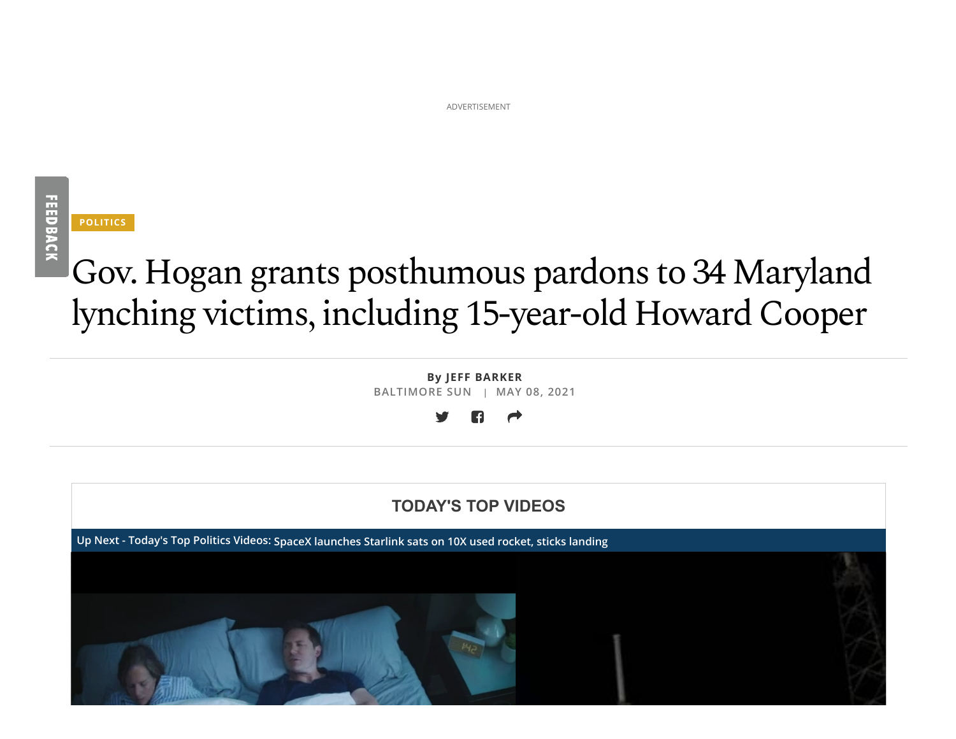ADVERTISEMENT

# **FEEDBACK**

**POLITICS**

## Gov. Hogan grants posthumous pardons to 34 Maryland lynching victims, including 15-year-old Howard Cooper

**By JEFF BARKER BALTIMORE SUN | MAY 08, 2021**



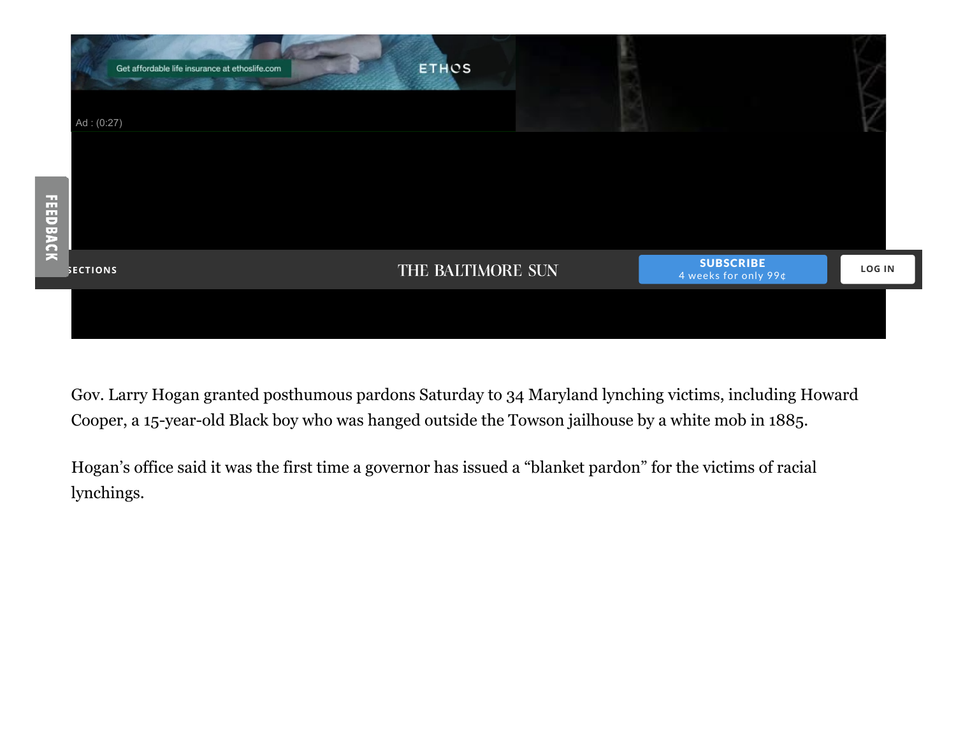| Get affordable life insurance at ethoslife.com | <b>ETHOS</b>      |                                          |               |
|------------------------------------------------|-------------------|------------------------------------------|---------------|
| Ad: (0:27)                                     |                   |                                          |               |
|                                                |                   |                                          |               |
|                                                |                   |                                          |               |
| <b>FEEDBACK</b>                                |                   |                                          |               |
| <b>SECTIONS</b>                                | THE BALTIMORE SUN | <b>SUBSCRIBE</b><br>4 weeks for only 99¢ | <b>LOG IN</b> |
|                                                |                   |                                          |               |

Gov. Larry Hogan granted posthumous pardons Saturday to 34 Maryland lynching victims, including Howard Cooper, a 15-year-old Black boy who was hanged outside the Towson jailhouse by a white mob in 1885.

Hogan's office said it was the first time a governor has issued a "blanket pardon" for the victims of racial lynchings.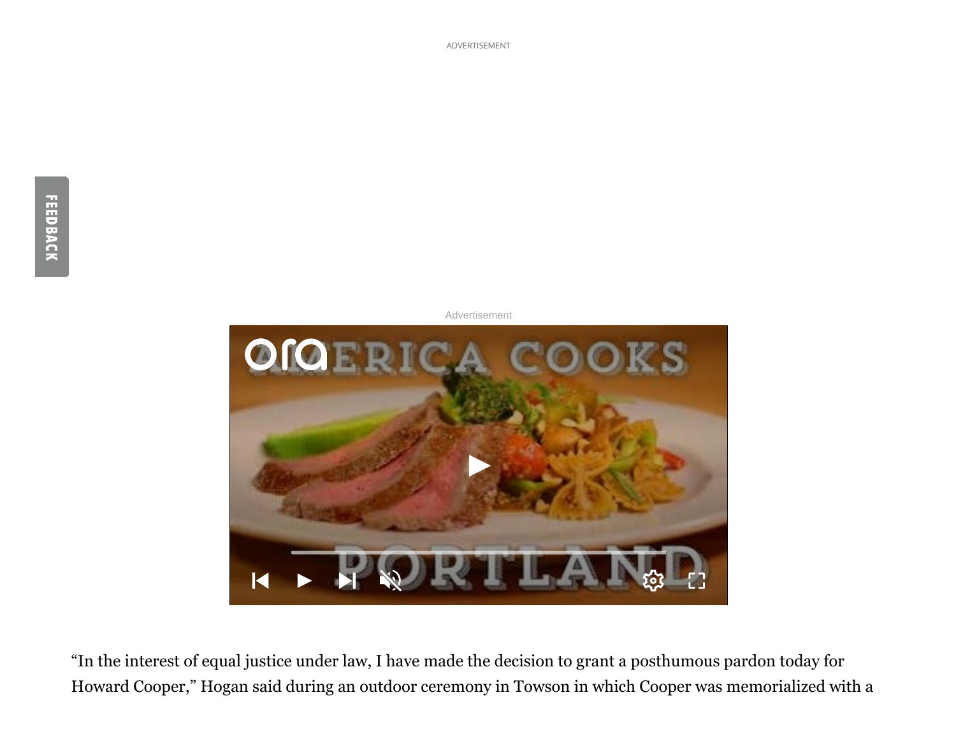

"In the interest of equal justice under law, I have made the decision to grant a posthumous pardon today for Howard Cooper," Hogan said during an outdoor ceremony in Towson in which Cooper was memorialized with a

ADVERTISEMENT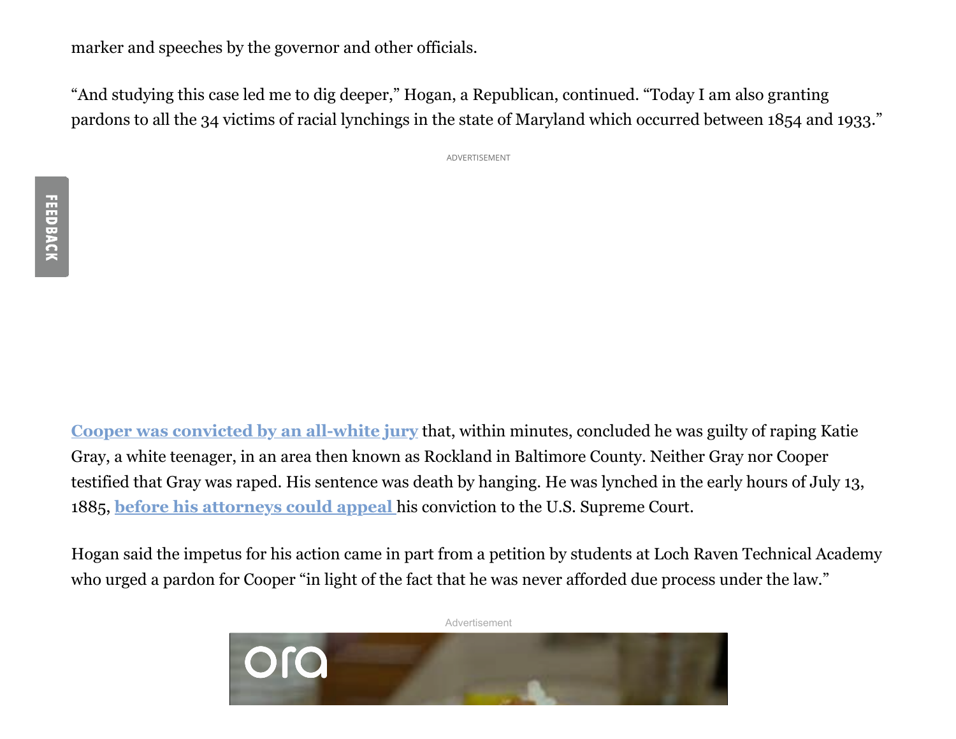marker and speeches by the governor and other officials.

"And studying this case led me to dig deeper," Hogan, a Republican, continued. "Today I am also granting pardons to all the 34 victims of racial lynchings in the state of Maryland which occurred between 1854 and 1933."

ADVERTISEMENT

**[Cooper was convicted by an all-white jury](https://www.baltimoresun.com/maryland/baltimore-county/bs-md-co-lynching-memorial-ceremony-howard-cooper-20210507-6vhokd43gfbpzpq3dv72tmotpa-story.html)** that, within minutes, concluded he was guilty of raping Katie Gray, a white teenager, in an area then known as Rockland in Baltimore County. Neither Gray nor Cooper testified that Gray was raped. His sentence was death by hanging. He was lynched in the early hours of July 13, 1885, **[before his attorneys could appeal](https://www.baltimoresun.com/maryland/baltimore-county/towson/cng-co-to-towson-lynching-memorial-20200416-f6aggwjimjedflpr5ioftpnoka-story.html)** his conviction to the U.S. Supreme Court.

Hogan said the impetus for his action came in part from a petition by students at Loch Raven Technical Academy who urged a pardon for Cooper "in light of the fact that he was never afforded due process under the law."

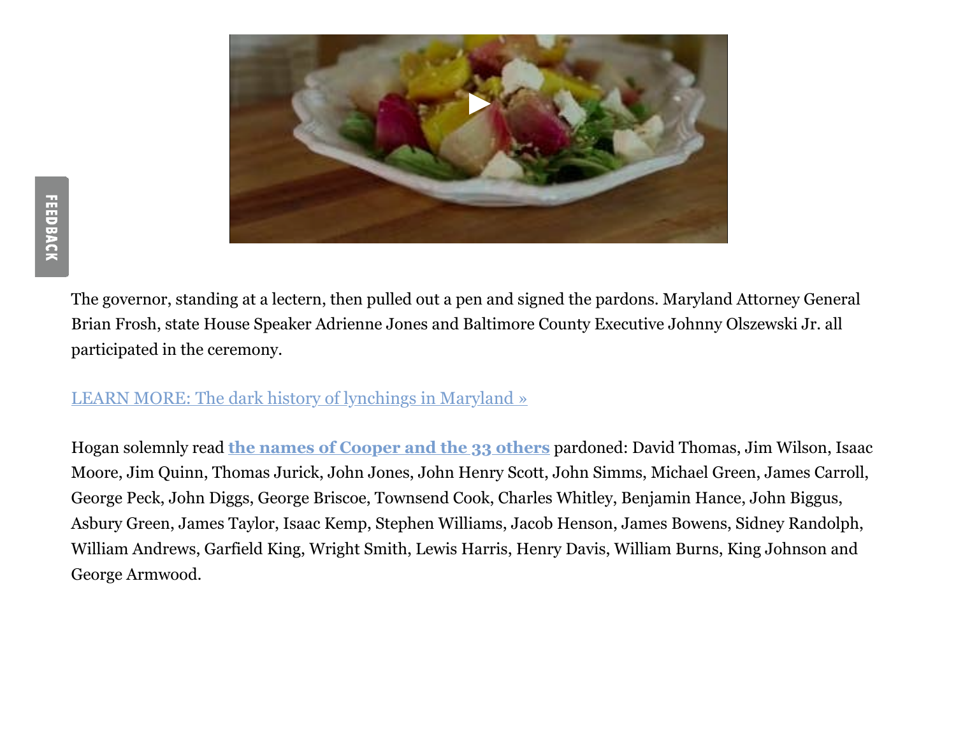

The governor, standing at a lectern, then pulled out a pen and signed the pardons. Maryland Attorney General Brian Frosh, state House Speaker Adrienne Jones and Baltimore County Executive Johnny Olszewski Jr. all participated in the ceremony.

#### [LEARN MORE: The dark history of lynchings in Maryland »](https://www.baltimoresun.com/maryland/bs-md-lynching-in-maryland-20180919-htmlstory.html#nt=interstitial-manual)

Hogan solemnly read **[the names of Cooper and the 33 others](https://news.baltimoresun.com/maryland-lynchings/)** pardoned: David Thomas, Jim Wilson, Isaac Moore, Jim Quinn, Thomas Jurick, John Jones, John Henry Scott, John Simms, Michael Green, James Carroll, George Peck, John Diggs, George Briscoe, Townsend Cook, Charles Whitley, Benjamin Hance, John Biggus, Asbury Green, James Taylor, Isaac Kemp, Stephen Williams, Jacob Henson, James Bowens, Sidney Randolph, William Andrews, Garfield King, Wright Smith, Lewis Harris, Henry Davis, William Burns, King Johnson and George Armwood.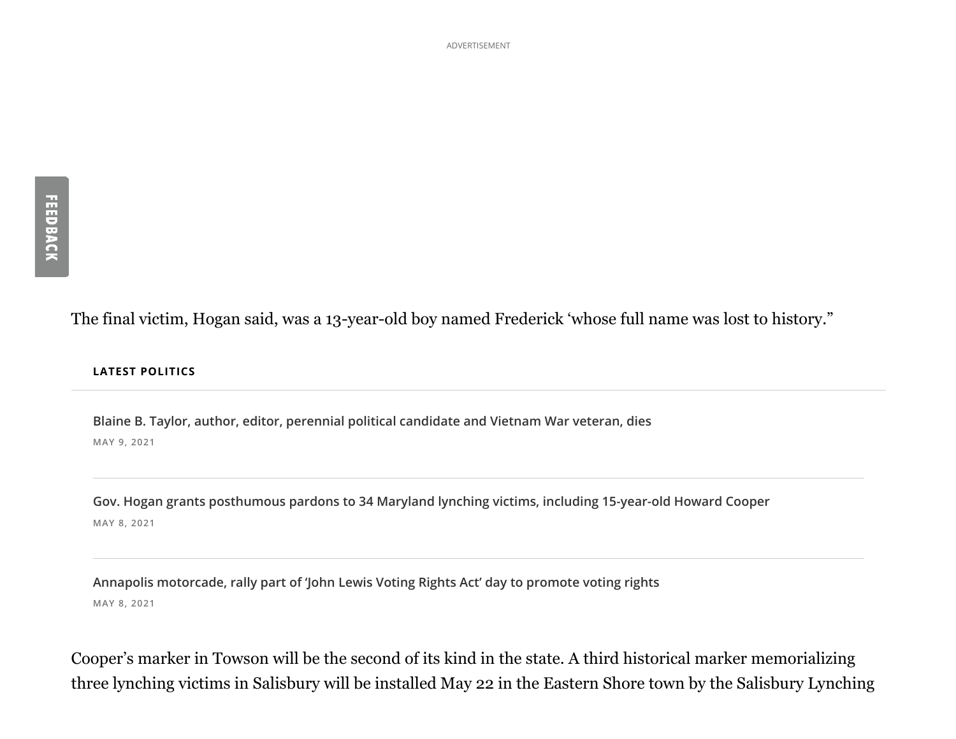ADVERTISEMENT

The final victim, Hogan said, was a 13-year-old boy named Frederick 'whose full name was lost to history."

#### **LATEST POLITICS**

**Blaine B. Taylor, author, editor, perennial political candidate and Vietnam War veteran, dies MAY 9, 2021**

**Gov. Hogan grants posthumous pardons to 34 Maryland lynching victims, including 15-year-old Howard Cooper MAY 8, 2021**

**Annapolis motorcade, rally part of 'John Lewis Voting Rights Act' day to promote voting rights MAY 8, 2021**

Cooper's marker in Towson will be the second of its kind in the state. A third historical marker memorializing three lynching victims in Salisbury will be installed May 22 in the Eastern Shore town by the Salisbury Lynching